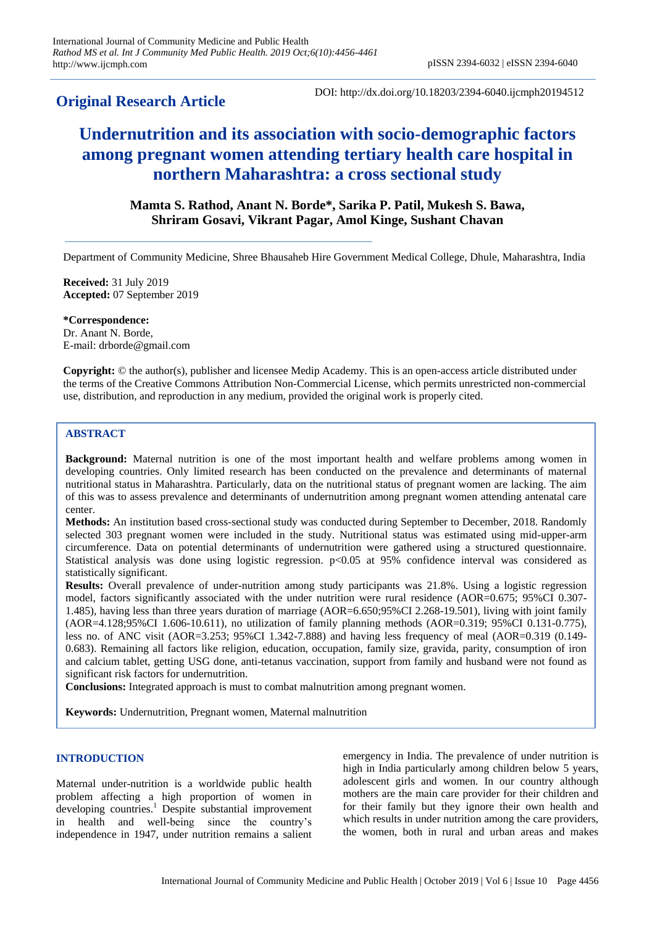# **Original Research Article**

DOI: http://dx.doi.org/10.18203/2394-6040.ijcmph20194512

# **Undernutrition and its association with socio-demographic factors among pregnant women attending tertiary health care hospital in northern Maharashtra: a cross sectional study**

# **Mamta S. Rathod, Anant N. Borde\*, Sarika P. Patil, Mukesh S. Bawa, Shriram Gosavi, Vikrant Pagar, Amol Kinge, Sushant Chavan**

Department of Community Medicine, Shree Bhausaheb Hire Government Medical College, Dhule, Maharashtra, India

**Received:** 31 July 2019 **Accepted:** 07 September 2019

**\*Correspondence:** Dr. Anant N. Borde, E-mail: drborde@gmail.com

**Copyright:** © the author(s), publisher and licensee Medip Academy. This is an open-access article distributed under the terms of the Creative Commons Attribution Non-Commercial License, which permits unrestricted non-commercial use, distribution, and reproduction in any medium, provided the original work is properly cited.

# **ABSTRACT**

**Background:** Maternal nutrition is one of the most important health and welfare problems among women in developing countries. Only limited research has been conducted on the prevalence and determinants of maternal nutritional status in Maharashtra. Particularly, data on the nutritional status of pregnant women are lacking. The aim of this was to assess prevalence and determinants of undernutrition among pregnant women attending antenatal care center.

**Methods:** An institution based cross-sectional study was conducted during September to December, 2018. Randomly selected 303 pregnant women were included in the study. Nutritional status was estimated using mid-upper-arm circumference. Data on potential determinants of undernutrition were gathered using a structured questionnaire. Statistical analysis was done using logistic regression.  $p<0.05$  at 95% confidence interval was considered as statistically significant.

**Results:** Overall prevalence of under-nutrition among study participants was 21.8%. Using a logistic regression model, factors significantly associated with the under nutrition were rural residence (AOR=0.675; 95%CI 0.307- 1.485), having less than three years duration of marriage (AOR=6.650;95%CI 2.268-19.501), living with joint family (AOR=4.128;95%CI 1.606-10.611), no utilization of family planning methods (AOR=0.319; 95%CI 0.131-0.775), less no. of ANC visit (AOR=3.253; 95%CI 1.342-7.888) and having less frequency of meal (AOR=0.319 (0.149- 0.683). Remaining all factors like religion, education, occupation, family size, gravida, parity, consumption of iron and calcium tablet, getting USG done, anti-tetanus vaccination, support from family and husband were not found as significant risk factors for undernutrition.

**Conclusions:** Integrated approach is must to combat malnutrition among pregnant women.

**Keywords:** Undernutrition, Pregnant women, Maternal malnutrition

# **INTRODUCTION**

Maternal under-nutrition is a worldwide public health problem affecting a high proportion of women in developing countries. <sup>1</sup> Despite substantial improvement in health and well-being since the country's independence in 1947, under nutrition remains a salient emergency in India. The prevalence of under nutrition is high in India particularly among children below 5 years, adolescent girls and women. In our country although mothers are the main care provider for their children and for their family but they ignore their own health and which results in under nutrition among the care providers, the women, both in rural and urban areas and makes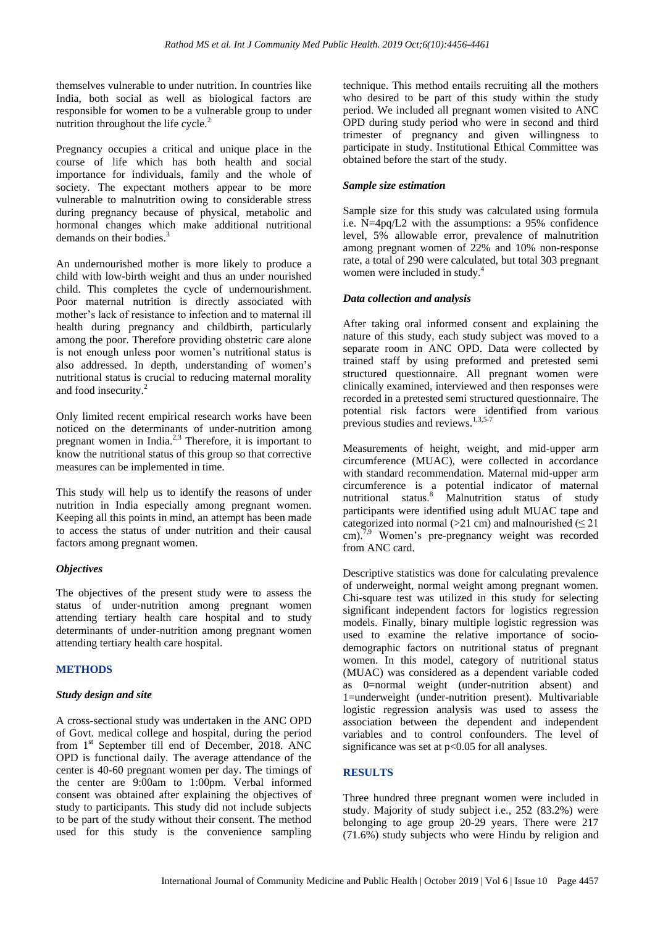themselves vulnerable to under nutrition. In countries like India, both social as well as biological factors are responsible for women to be a vulnerable group to under nutrition throughout the life cycle. $2$ 

Pregnancy occupies a critical and unique place in the course of life which has both health and social importance for individuals, family and the whole of society. The expectant mothers appear to be more vulnerable to malnutrition owing to considerable stress during pregnancy because of physical, metabolic and hormonal changes which make additional nutritional demands on their bodies.<sup>3</sup>

An undernourished mother is more likely to produce a child with low-birth weight and thus an under nourished child. This completes the cycle of undernourishment. Poor maternal nutrition is directly associated with mother's lack of resistance to infection and to maternal ill health during pregnancy and childbirth, particularly among the poor. Therefore providing obstetric care alone is not enough unless poor women's nutritional status is also addressed. In depth, understanding of women's nutritional status is crucial to reducing maternal morality and food insecurity.<sup>2</sup>

Only limited recent empirical research works have been noticed on the determinants of under-nutrition among pregnant women in India.<sup>2,3</sup> Therefore, it is important to know the nutritional status of this group so that corrective measures can be implemented in time.

This study will help us to identify the reasons of under nutrition in India especially among pregnant women. Keeping all this points in mind, an attempt has been made to access the status of under nutrition and their causal factors among pregnant women.

# *Objectives*

The objectives of the present study were to assess the status of under-nutrition among pregnant women attending tertiary health care hospital and to study determinants of under-nutrition among pregnant women attending tertiary health care hospital.

# **METHODS**

# *Study design and site*

A cross-sectional study was undertaken in the ANC OPD of Govt. medical college and hospital, during the period from 1<sup>st</sup> September till end of December, 2018. ANC OPD is functional daily. The average attendance of the center is 40-60 pregnant women per day. The timings of the center are 9:00am to 1:00pm. Verbal informed consent was obtained after explaining the objectives of study to participants. This study did not include subjects to be part of the study without their consent. The method used for this study is the convenience sampling technique. This method entails recruiting all the mothers who desired to be part of this study within the study period. We included all pregnant women visited to ANC OPD during study period who were in second and third trimester of pregnancy and given willingness to participate in study. Institutional Ethical Committee was obtained before the start of the study.

# *Sample size estimation*

Sample size for this study was calculated using formula i.e. N=4pq/L2 with the assumptions: a 95% confidence level, 5% allowable error, prevalence of malnutrition among pregnant women of 22% and 10% non-response rate, a total of 290 were calculated, but total 303 pregnant women were included in study.<sup>4</sup>

#### *Data collection and analysis*

After taking oral informed consent and explaining the nature of this study, each study subject was moved to a separate room in ANC OPD. Data were collected by trained staff by using preformed and pretested semi structured questionnaire. All pregnant women were clinically examined, interviewed and then responses were recorded in a pretested semi structured questionnaire. The potential risk factors were identified from various previous studies and reviews.<sup>1,3,5-7</sup>

Measurements of height, weight, and mid-upper arm circumference (MUAC), were collected in accordance with standard recommendation. Maternal mid-upper arm circumference is a potential indicator of maternal nutritional status.<sup>8</sup> Malnutrition status of study participants were identified using adult MUAC tape and categorized into normal ( $>21$  cm) and malnourished ( $\leq 21$ ) cm).<sup>7,9</sup> Women's pre-pregnancy weight was recorded from ANC card.

Descriptive statistics was done for calculating prevalence of underweight, normal weight among pregnant women. Chi-square test was utilized in this study for selecting significant independent factors for logistics regression models. Finally, binary multiple logistic regression was used to examine the relative importance of sociodemographic factors on nutritional status of pregnant women. In this model, category of nutritional status (MUAC) was considered as a dependent variable coded as 0=normal weight (under-nutrition absent) and 1=underweight (under-nutrition present). Multivariable logistic regression analysis was used to assess the association between the dependent and independent variables and to control confounders. The level of significance was set at  $p<0.05$  for all analyses.

# **RESULTS**

Three hundred three pregnant women were included in study. Majority of study subject i.e., 252 (83.2%) were belonging to age group 20-29 years. There were 217 (71.6%) study subjects who were Hindu by religion and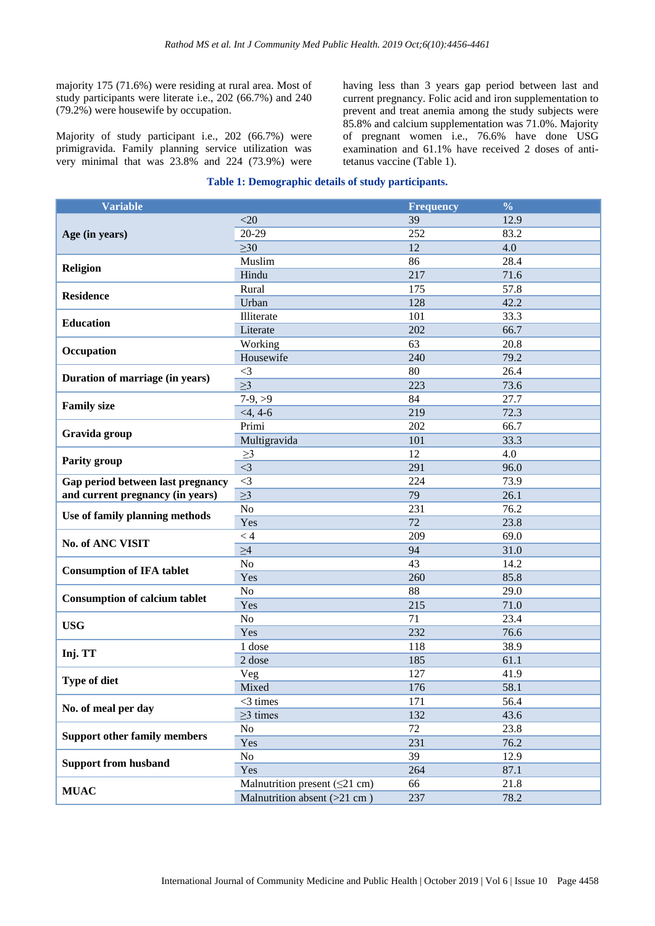majority 175 (71.6%) were residing at rural area. Most of study participants were literate i.e., 202 (66.7%) and 240 (79.2%) were housewife by occupation.

Majority of study participant i.e., 202 (66.7%) were primigravida. Family planning service utilization was very minimal that was 23.8% and 224 (73.9%) were having less than 3 years gap period between last and current pregnancy. Folic acid and iron supplementation to prevent and treat anemia among the study subjects were 85.8% and calcium supplementation was 71.0%. Majority of pregnant women i.e., 76.6% have done USG examination and 61.1% have received 2 doses of antitetanus vaccine (Table 1).

#### **Table 1: Demographic details of study participants.**

| <b>Variable</b>                      |                                     | <b>Frequency</b> | $\frac{0}{0}$ |  |
|--------------------------------------|-------------------------------------|------------------|---------------|--|
|                                      | $<$ 20                              | 39               | 12.9          |  |
| Age (in years)                       | 20-29                               | 252              | 83.2          |  |
|                                      | $\geq 30$                           | 12               | 4.0           |  |
|                                      | Muslim                              | 86               | 28.4          |  |
| <b>Religion</b>                      | Hindu                               | 217              | 71.6          |  |
| <b>Residence</b>                     | Rural                               | 175              | 57.8          |  |
|                                      | Urban                               | 128              | 42.2          |  |
| <b>Education</b>                     | Illiterate                          | 101              | 33.3          |  |
|                                      | Literate                            | 202              | 66.7          |  |
| Occupation                           | Working                             | 63               | 20.8          |  |
|                                      | Housewife                           | 240              | 79.2          |  |
| Duration of marriage (in years)      | $\leq$ 3                            | 80               | 26.4          |  |
|                                      | $\geq$ 3                            | 223              | 73.6          |  |
| <b>Family size</b>                   | $7-9, >9$                           | 84               | 27.7          |  |
|                                      | $<$ 4, 4-6                          | 219              | 72.3          |  |
| Gravida group                        | Primi                               | 202              | 66.7          |  |
|                                      | Multigravida                        | 101              | 33.3          |  |
| <b>Parity group</b>                  | $\geq$ 3                            | 12               | 4.0           |  |
|                                      | $\leq$ 3                            | 291              | 96.0          |  |
| Gap period between last pregnancy    | $\leq$ 3                            | 224              | 73.9          |  |
| and current pregnancy (in years)     | $\geq$ 3                            | 79               | 26.1          |  |
| Use of family planning methods       | N <sub>o</sub>                      | 231              | 76.2          |  |
|                                      | Yes                                 | 72               | 23.8          |  |
| No. of ANC VISIT                     | < 4                                 | 209              | 69.0          |  |
|                                      | $\geq 4$                            | 94               | 31.0          |  |
| <b>Consumption of IFA tablet</b>     | No                                  | 43               | 14.2          |  |
|                                      | Yes                                 | 260              | 85.8          |  |
| <b>Consumption of calcium tablet</b> | No                                  | 88               | 29.0          |  |
|                                      | Yes                                 | 215              | 71.0          |  |
| <b>USG</b>                           | No                                  | 71               | 23.4          |  |
|                                      | Yes                                 | 232              | 76.6          |  |
| Inj. TT                              | 1 dose                              | 118              | 38.9          |  |
|                                      | 2 dose                              | 185              | 61.1          |  |
| Type of diet                         | Veg                                 | 127              | 41.9          |  |
|                                      | Mixed                               | 176              | 58.1          |  |
| No. of meal per day                  | $<$ 3 times                         | 171              | 56.4          |  |
|                                      | $\geq$ 3 times                      | 132              | 43.6          |  |
| <b>Support other family members</b>  | N <sub>o</sub>                      | 72               | 23.8          |  |
|                                      | Yes                                 | 231              | 76.2          |  |
| <b>Support from husband</b>          | No                                  | 39               | 12.9          |  |
|                                      | Yes                                 | 264              | 87.1          |  |
| <b>MUAC</b>                          | Malnutrition present $(\leq 21$ cm) | 66               | 21.8          |  |
|                                      | Malnutrition absent $(>21$ cm)      | 237              | 78.2          |  |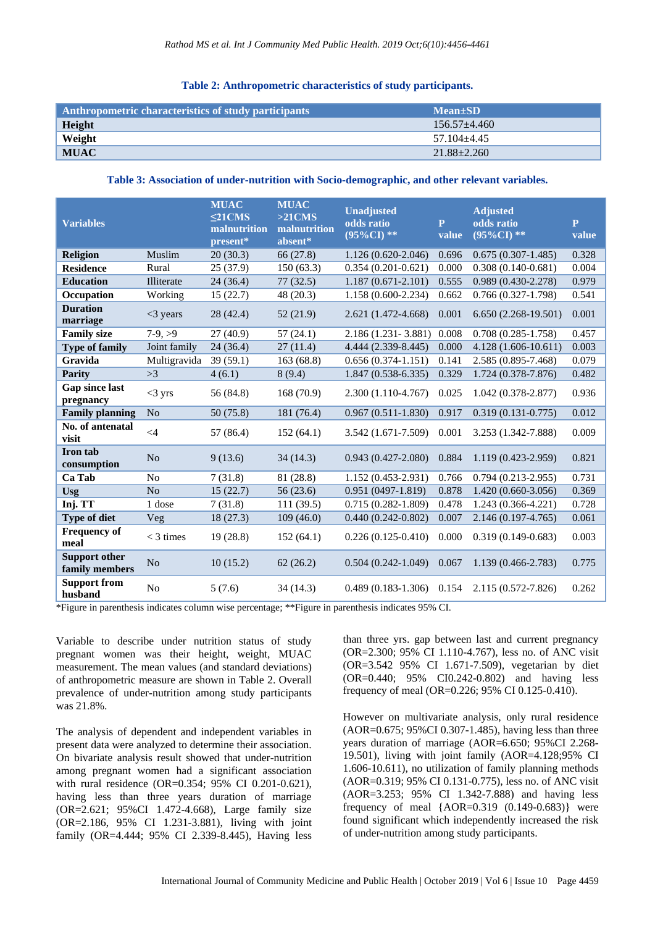#### **Table 2: Anthropometric characteristics of study participants.**

| Anthropometric characteristics of study participants | $Mean \pm SD$     |
|------------------------------------------------------|-------------------|
| Height                                               | $156.57 + 4.460$  |
| Weight                                               | $57.104 + 4.45$   |
| <b>MUAC</b>                                          | $21.88 \pm 2.260$ |

#### **Table 3: Association of under-nutrition with Socio-demographic, and other relevant variables.**

| <b>Variables</b>                       |                | <b>MUAC</b><br>$\leq$ 21CMS<br>malnutrition<br>present* | <b>MUAC</b><br>$>21$ CMS<br>malnutrition<br>absent* | <b>Unadjusted</b><br>odds ratio<br>$(95\%CI)**$ | $\mathbf{P}$<br>value | <b>Adjusted</b><br>odds ratio<br>$(95\%CI)**$ | $\mathbf{p}$<br>value |
|----------------------------------------|----------------|---------------------------------------------------------|-----------------------------------------------------|-------------------------------------------------|-----------------------|-----------------------------------------------|-----------------------|
| <b>Religion</b>                        | Muslim         | 20(30.3)                                                | 66 (27.8)                                           | $1.126(0.620-2.046)$                            | 0.696                 | $0.675(0.307 - 1.485)$                        | 0.328                 |
| <b>Residence</b>                       | Rural          | 25(37.9)                                                | 150(63.3)                                           | $0.354(0.201 - 0.621)$                          | 0.000                 | $0.308(0.140-0.681)$                          | 0.004                 |
| <b>Education</b>                       | Illiterate     | 24(36.4)                                                | 77(32.5)                                            | $1.187(0.671 - 2.101)$                          | 0.555                 | 0.989 (0.430-2.278)                           | 0.979                 |
| <b>Occupation</b>                      | Working        | 15(22.7)                                                | 48 (20.3)                                           | 1.158 (0.600-2.234)                             | 0.662                 | $0.766(0.327-1.798)$                          | 0.541                 |
| <b>Duration</b><br>marriage            | $<$ 3 years    | 28(42.4)                                                | 52 (21.9)                                           | 2.621 (1.472-4.668)                             | 0.001                 | $6.650(2.268-19.501)$                         | 0.001                 |
| <b>Family size</b>                     | $7-9, >9$      | 27(40.9)                                                | 57(24.1)                                            | 2.186 (1.231 - 3.881)                           | 0.008                 | $0.708(0.285 - 1.758)$                        | 0.457                 |
| <b>Type of family</b>                  | Joint family   | 24(36.4)                                                | 27(11.4)                                            | 4.444 (2.339-8.445)                             | 0.000                 | 4.128 (1.606-10.611)                          | 0.003                 |
| Gravida                                | Multigravida   | 39(59.1)                                                | 163 (68.8)                                          | $0.656(0.374-1.151)$                            | 0.141                 | 2.585 (0.895-7.468)                           | 0.079                 |
| <b>Parity</b>                          | >3             | 4(6.1)                                                  | 8(9.4)                                              | $1.847(0.538 - 6.335)$                          | 0.329                 | 1.724 (0.378-7.876)                           | 0.482                 |
| Gap since last<br>pregnancy            | $<$ 3 yrs      | 56 (84.8)                                               | 168(70.9)                                           | 2.300 (1.110-4.767)                             | 0.025                 | $1.042(0.378 - 2.877)$                        | 0.936                 |
| <b>Family planning</b>                 | N <sub>o</sub> | 50(75.8)                                                | 181 (76.4)                                          | $0.967(0.511-1.830)$                            | 0.917                 | $0.319(0.131 - 0.775)$                        | 0.012                 |
| No. of antenatal<br>visit              | $\leq 4$       | 57 (86.4)                                               | 152(64.1)                                           | 3.542 (1.671-7.509)                             | 0.001                 | 3.253 (1.342-7.888)                           | 0.009                 |
| Iron tab<br>consumption                | N <sub>o</sub> | 9(13.6)                                                 | 34(14.3)                                            | $0.943(0.427 - 2.080)$                          | 0.884                 | 1.119 (0.423-2.959)                           | 0.821                 |
| Ca Tab                                 | N <sub>o</sub> | 7(31.8)                                                 | 81 (28.8)                                           | $1.152(0.453 - 2.931)$                          | 0.766                 | $0.794(0.213 - 2.955)$                        | 0.731                 |
| <b>Usg</b>                             | N <sub>o</sub> | 15(22.7)                                                | 56 (23.6)                                           | $0.951(0497-1.819)$                             | 0.878                 | $1.420(0.660-3.056)$                          | 0.369                 |
| Inj. TT                                | 1 dose         | 7(31.8)                                                 | 111(39.5)                                           | $0.715(0.282 - 1.809)$                          | 0.478                 | 1.243 (0.366-4.221)                           | 0.728                 |
| <b>Type of diet</b>                    | Veg            | 18(27.3)                                                | 109(46.0)                                           | $0.440(0.242 - 0.802)$                          | 0.007                 | 2.146 (0.197-4.765)                           | 0.061                 |
| <b>Frequency of</b><br>meal            | $<$ 3 times    | 19(28.8)                                                | 152(64.1)                                           | $0.226(0.125-0.410)$                            | 0.000                 | $0.319(0.149 - 0.683)$                        | 0.003                 |
| <b>Support other</b><br>family members | N <sub>o</sub> | 10(15.2)                                                | 62(26.2)                                            | $0.504(0.242-1.049)$                            | 0.067                 | 1.139 (0.466-2.783)                           | 0.775                 |
| <b>Support from</b><br>husband         | No             | 5(7.6)                                                  | 34 (14.3)                                           | $0.489(0.183-1.306)$                            | 0.154                 | 2.115 (0.572-7.826)                           | 0.262                 |

\*Figure in parenthesis indicates column wise percentage; \*\*Figure in parenthesis indicates 95% CI.

Variable to describe under nutrition status of study pregnant women was their height, weight, MUAC measurement. The mean values (and standard deviations) of anthropometric measure are shown in Table 2. Overall prevalence of under-nutrition among study participants was 21.8%.

The analysis of dependent and independent variables in present data were analyzed to determine their association. On bivariate analysis result showed that under-nutrition among pregnant women had a significant association with rural residence (OR=0.354; 95% CI 0.201-0.621), having less than three years duration of marriage (OR=2.621; 95%CI 1.472-4.668), Large family size (OR=2.186, 95% CI 1.231-3.881), living with joint family (OR=4.444; 95% CI 2.339-8.445), Having less

than three yrs. gap between last and current pregnancy (OR=2.300; 95% CI 1.110-4.767), less no. of ANC visit (OR=3.542 95% CI 1.671-7.509), vegetarian by diet (OR=0.440; 95% CI0.242-0.802) and having less frequency of meal (OR=0.226; 95% CI 0.125-0.410).

However on multivariate analysis, only rural residence (AOR=0.675; 95%CI 0.307-1.485), having less than three years duration of marriage (AOR=6.650; 95%CI 2.268- 19.501), living with joint family (AOR=4.128;95% CI 1.606-10.611), no utilization of family planning methods (AOR=0.319; 95% CI 0.131-0.775), less no. of ANC visit (AOR=3.253; 95% CI 1.342-7.888) and having less frequency of meal  ${AOR = 0.319 (0.149 - 0.683)}$  were found significant which independently increased the risk of under-nutrition among study participants.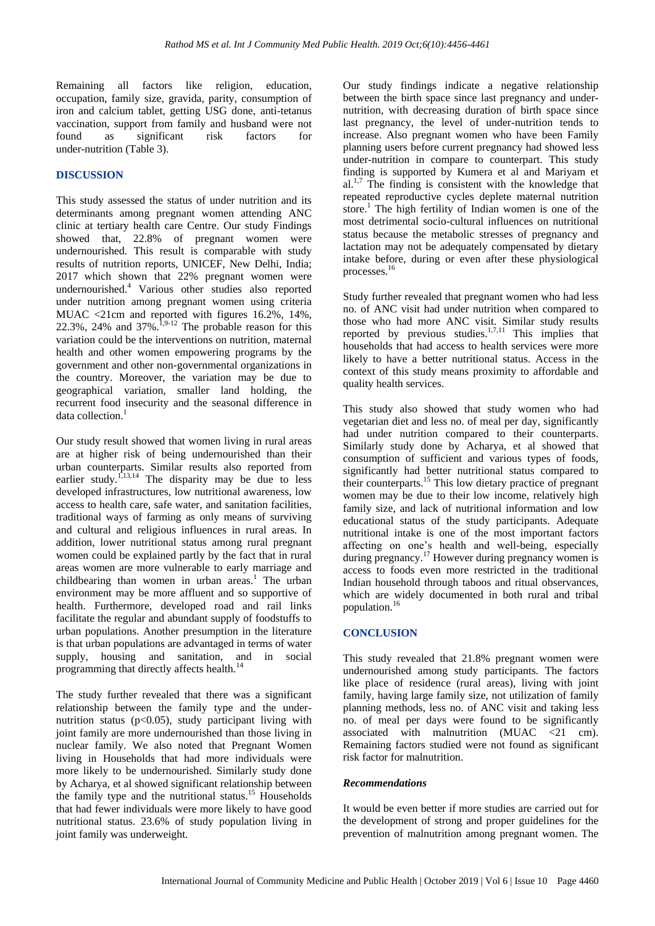Remaining all factors like religion, education, occupation, family size, gravida, parity, consumption of iron and calcium tablet, getting USG done, anti-tetanus vaccination, support from family and husband were not found as significant risk factors for under-nutrition (Table 3).

# **DISCUSSION**

This study assessed the status of under nutrition and its determinants among pregnant women attending ANC clinic at tertiary health care Centre. Our study Findings showed that, 22.8% of pregnant women were undernourished. This result is comparable with study results of nutrition reports, UNICEF, New Delhi, India; 2017 which shown that 22% pregnant women were undernourished.<sup>4</sup> Various other studies also reported under nutrition among pregnant women using criteria MUAC <21cm and reported with figures 16.2%, 14%, 22.3%, 24% and  $37\%$ .<sup>1,9-12</sup> The probable reason for this variation could be the interventions on nutrition, maternal health and other women empowering programs by the government and other non-governmental organizations in the country. Moreover, the variation may be due to geographical variation, smaller land holding, the recurrent food insecurity and the seasonal difference in data collection. $<sup>1</sup>$ </sup>

Our study result showed that women living in rural areas are at higher risk of being undernourished than their urban counterparts. Similar results also reported from earlier study.<sup>1,13,14</sup> The disparity may be due to less developed infrastructures, low nutritional awareness, low access to health care, safe water, and sanitation facilities, traditional ways of farming as only means of surviving and cultural and religious influences in rural areas. In addition, lower nutritional status among rural pregnant women could be explained partly by the fact that in rural areas women are more vulnerable to early marriage and childbearing than women in urban areas. <sup>1</sup> The urban environment may be more affluent and so supportive of health. Furthermore, developed road and rail links facilitate the regular and abundant supply of foodstuffs to urban populations. Another presumption in the literature is that urban populations are advantaged in terms of water supply, housing and sanitation, and in social programming that directly affects health.<sup>14</sup>

The study further revealed that there was a significant relationship between the family type and the undernutrition status ( $p<0.05$ ), study participant living with joint family are more undernourished than those living in nuclear family. We also noted that Pregnant Women living in Households that had more individuals were more likely to be undernourished. Similarly study done by Acharya, et al showed significant relationship between the family type and the nutritional status.<sup>15</sup> Households that had fewer individuals were more likely to have good nutritional status. 23.6% of study population living in joint family was underweight.

Our study findings indicate a negative relationship between the birth space since last pregnancy and undernutrition, with decreasing duration of birth space since last pregnancy, the level of under-nutrition tends to increase. Also pregnant women who have been Family planning users before current pregnancy had showed less under-nutrition in compare to counterpart. This study finding is supported by Kumera et al and Mariyam et  $al^{1,7}$ . The finding is consistent with the knowledge that repeated reproductive cycles deplete maternal nutrition store.<sup>1</sup> The high fertility of Indian women is one of the most detrimental socio-cultural influences on nutritional status because the metabolic stresses of pregnancy and lactation may not be adequately compensated by dietary intake before, during or even after these physiological processes.<sup>16</sup>

Study further revealed that pregnant women who had less no. of ANC visit had under nutrition when compared to those who had more ANC visit. Similar study results reported by previous studies. $1,7,11$  This implies that households that had access to health services were more likely to have a better nutritional status. Access in the context of this study means proximity to affordable and quality health services.

This study also showed that study women who had vegetarian diet and less no. of meal per day, significantly had under nutrition compared to their counterparts. Similarly study done by Acharya, et al showed that consumption of sufficient and various types of foods, significantly had better nutritional status compared to their counterparts.<sup>15</sup> This low dietary practice of pregnant women may be due to their low income, relatively high family size, and lack of nutritional information and low educational status of the study participants. Adequate nutritional intake is one of the most important factors affecting on one's health and well-being, especially during pregnancy.<sup>17</sup> However during pregnancy women is access to foods even more restricted in the traditional Indian household through taboos and ritual observances, which are widely documented in both rural and tribal population. 16

#### **CONCLUSION**

This study revealed that 21.8% pregnant women were undernourished among study participants. The factors like place of residence (rural areas), living with joint family, having large family size, not utilization of family planning methods, less no. of ANC visit and taking less no. of meal per days were found to be significantly associated with malnutrition (MUAC <21 cm). Remaining factors studied were not found as significant risk factor for malnutrition.

#### *Recommendations*

It would be even better if more studies are carried out for the development of strong and proper guidelines for the prevention of malnutrition among pregnant women. The